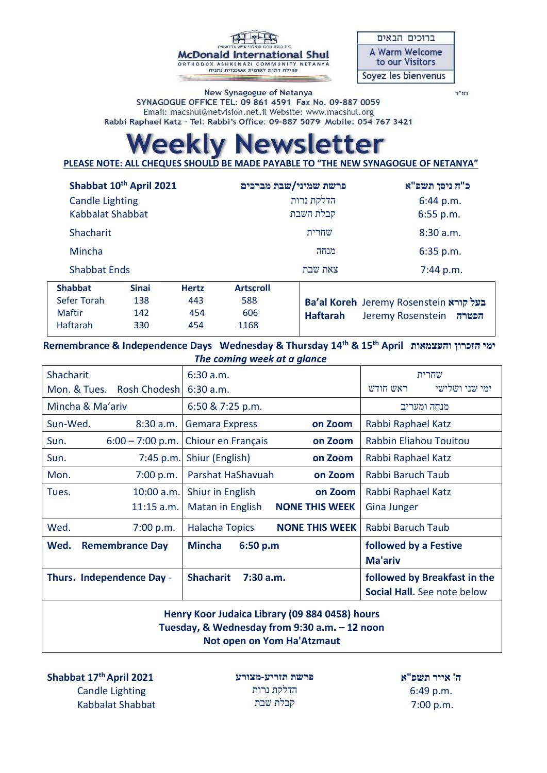**McDonald International Shul** ORTHODOX ASHKENAZI COMMUNITY NETANYA<br>קהילה דתית לאומית אשכנזית נתניה

| ברוכים הבאים          |
|-----------------------|
| <b>A Warm Welcome</b> |
| to our Visitors       |
| Soyez les bienvenus   |

New Synagogue of Netanya SYNAGOGUE OFFICE TEL: 09 861 4591 Fax No. 09-887 0059 Email: macshul@netvision.net.il Website: www.macshul.org Rabbi Raphael Katz - Tel: Rabbi's Office: 09-887 5079 Mobile: 054 767 3421

#### בס"ד

# *ewsletter* **PAKIV N**

**PLEASE NOTE: ALL CHEQUES SHOULD BE MADE PAYABLE TO "THE NEW SYNAGOGUE OF NETANYA"** 

| Shabbat 10th April 2021 |              |              |                  | פרשת שמיני/שבת מברכים | כ"ח ניסן תשפ"א                                |  |
|-------------------------|--------------|--------------|------------------|-----------------------|-----------------------------------------------|--|
| <b>Candle Lighting</b>  |              |              | הדלקת נרות       |                       | 6:44 p.m.                                     |  |
| Kabbalat Shabbat        |              |              | קבלת השבת        |                       | $6:55$ p.m.                                   |  |
| Shacharit               |              |              | שחרית            |                       | 8:30 a.m.                                     |  |
| Mincha                  |              |              |                  | מנחה                  | $6:35$ p.m.                                   |  |
| <b>Shabbat Ends</b>     |              |              | צאת שבת          |                       | 7:44 p.m.                                     |  |
| <b>Shabbat</b>          | <b>Sinai</b> | <b>Hertz</b> | <b>Artscroll</b> |                       |                                               |  |
| <b>Sefer Torah</b>      | 138          | 443          | 588              |                       | <b>Ba'al Koreh Jeremy Rosenstein בעל קורא</b> |  |
| <b>Maftir</b>           | 142          | 454          | 606              | <b>Haftarah</b>       | Jeremy Rosenstein<br>הפטרה                    |  |
| Haftarah                | 330          | 454          | 1168             |                       |                                               |  |

 **Remembrance & Independence Days Wednesday & Thursday 14th & 15th April והעצמאות הזכרון ימי** *The coming week at a glance* 

| 6:30 a.m.                                 | שחרית                              |  |
|-------------------------------------------|------------------------------------|--|
| 6:30 a.m.                                 | ימי שני ושלישי<br>ראש חודש         |  |
| 6:50 & 7:25 p.m.                          | מנחה ומעריב                        |  |
| <b>Gemara Express</b><br>on Zoom          | Rabbi Raphael Katz                 |  |
| Chiour en Français<br>on Zoom             | Rabbin Eliahou Touitou             |  |
| Shiur (English)<br>on Zoom                | Rabbi Raphael Katz                 |  |
| Parshat HaShavuah<br>on Zoom              | Rabbi Baruch Taub                  |  |
| Shiur in English<br>on Zoom               | Rabbi Raphael Katz                 |  |
| <b>NONE THIS WEEK</b><br>Matan in English | <b>Gina Junger</b>                 |  |
| <b>Halacha Topics</b>                     | Rabbi Baruch Taub                  |  |
| <b>Mincha</b><br>6:50 p.m                 | followed by a Festive              |  |
|                                           | <b>Ma'ariv</b>                     |  |
| <b>Shacharit</b><br>$7:30$ a.m.           | followed by Breakfast in the       |  |
|                                           | <b>Social Hall.</b> See note below |  |
|                                           | <b>NONE THIS WEEK</b>              |  |

# **Henry Koor Judaica Library (09 884 0458) hours Tuesday, & Wednesday from 9:30 a.m. – 12 noon Not open on Yom Ha'Atzmaut**

**Shabbat 17thApril 2021** Candle Lighting Kabbalat Shabbat

**פרשת תזריע-מצורע** הדלקת נרות קבלת שבת

**ה' אייר תשפ"א** 6:49 p.m. 7:00 p.m.